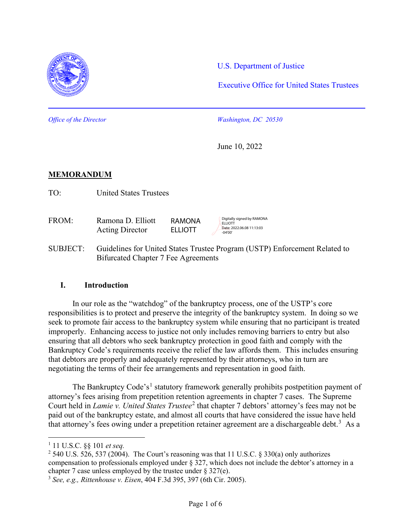

U.S. Department of Justice

Executive Office for United States Trustees

*Office of the Director Washington, DC 20530*

June 10, 2022

Digitally signed by RAMONA

Date: 2022.06.08.11:13:03

**ELLIOTT** 

-04'00'

## **MEMORANDUM**

TO: United States Trustees

- FROM: Ramona D. Elliott Acting Director RAMONA **ELLIOTT**
- SUBJECT: Guidelines for United States Trustee Program (USTP) Enforcement Related to Bifurcated Chapter 7 Fee Agreements

#### **I. Introduction**

In our role as the "watchdog" of the bankruptcy process, one of the USTP's core responsibilities is to protect and preserve the integrity of the bankruptcy system. In doing so we seek to promote fair access to the bankruptcy system while ensuring that no participant is treated improperly. Enhancing access to justice not only includes removing barriers to entry but also ensuring that all debtors who seek bankruptcy protection in good faith and comply with the Bankruptcy Code's requirements receive the relief the law affords them. This includes ensuring that debtors are properly and adequately represented by their attorneys, who in turn are negotiating the terms of their fee arrangements and representation in good faith.

The Bankruptcy Code's<sup>[1](#page-0-0)</sup> statutory framework generally prohibits postpetition payment of attorney's fees arising from prepetition retention agreements in chapter 7 cases. The Supreme Court held in *Lamie v. United States Trustee*<sup>[2](#page-0-1)</sup> that chapter 7 debtors' attorney's fees may not be paid out of the bankruptcy estate, and almost all courts that have considered the issue have held that attorney's fees owing under a prepetition retainer agreement are a dischargeable debt.<sup>[3](#page-0-2)</sup> As a

<span id="page-0-0"></span><sup>1</sup> 11 U.S.C. §§ 101 *et seq.*

<span id="page-0-1"></span><sup>&</sup>lt;sup>2</sup> 540 U.S. 526, 537 (2004). The Court's reasoning was that 11 U.S.C. § 330(a) only authorizes compensation to professionals employed under § 327, which does not include the debtor's attorney in a chapter 7 case unless employed by the trustee under § 327(e).

<span id="page-0-2"></span><sup>3</sup> *See, e.g., Rittenhouse v. Eisen*, 404 F.3d 395, 397 (6th Cir. 2005).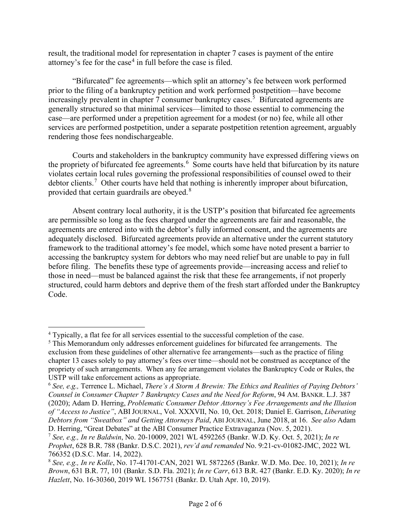result, the traditional model for representation in chapter 7 cases is payment of the entire attorney's fee for the case<sup>[4](#page-1-0)</sup> in full before the case is filed.

"Bifurcated" fee agreements—which split an attorney's fee between work performed prior to the filing of a bankruptcy petition and work performed postpetition—have become increasingly prevalent in chapter 7 consumer bankruptcy cases.<sup>[5](#page-1-1)</sup> Bifurcated agreements are generally structured so that minimal services—limited to those essential to commencing the case—are performed under a prepetition agreement for a modest (or no) fee, while all other services are performed postpetition, under a separate postpetition retention agreement, arguably rendering those fees nondischargeable.

Courts and stakeholders in the bankruptcy community have expressed differing views on the propriety of bifurcated fee agreements. [6](#page-1-2) Some courts have held that bifurcation by its nature violates certain local rules governing the professional responsibilities of counsel owed to their debtor clients.<sup>[7](#page-1-3)</sup> Other courts have held that nothing is inherently improper about bifurcation, provided that certain guardrails are obeyed. $8$ 

Absent contrary local authority, it is the USTP's position that bifurcated fee agreements are permissible so long as the fees charged under the agreements are fair and reasonable, the agreements are entered into with the debtor's fully informed consent, and the agreements are adequately disclosed. Bifurcated agreements provide an alternative under the current statutory framework to the traditional attorney's fee model, which some have noted present a barrier to accessing the bankruptcy system for debtors who may need relief but are unable to pay in full before filing. The benefits these type of agreements provide—increasing access and relief to those in need—must be balanced against the risk that these fee arrangements, if not properly structured, could harm debtors and deprive them of the fresh start afforded under the Bankruptcy Code.

<span id="page-1-0"></span><sup>4</sup> Typically, a flat fee for all services essential to the successful completion of the case.

<span id="page-1-1"></span><sup>&</sup>lt;sup>5</sup> This Memorandum only addresses enforcement guidelines for bifurcated fee arrangements. The exclusion from these guidelines of other alternative fee arrangements—such as the practice of filing chapter 13 cases solely to pay attorney's fees over time—should not be construed as acceptance of the propriety of such arrangements. When any fee arrangement violates the Bankruptcy Code or Rules, the USTP will take enforcement actions as appropriate.

<span id="page-1-2"></span><sup>6</sup> *See, e.g.,* Terrence L. Michael, *There's A Storm A Brewin: The Ethics and Realities of Paying Debtors' Counsel in Consumer Chapter 7 Bankruptcy Cases and the Need for Reform*, 94 AM. BANKR. L.J. 387 (2020); Adam D. Herring, *Problematic Consumer Debtor Attorney's Fee Arrangements and the Illusion of "Access to Justice"*, ABI JOURNAL, Vol. XXXVII, No. 10, Oct. 2018; Daniel E. Garrison, *Liberating Debtors from "Sweatbox" and Getting Attorneys Paid*, ABI JOURNAL, June 2018, at 16. *See also* Adam D. Herring, "Great Debates" at the ABI Consumer Practice Extravaganza (Nov. 5, 2021).

<span id="page-1-3"></span><sup>7</sup> *See, e.g., In re Baldwin*, No. 20-10009, 2021 WL 4592265 (Bankr. W.D. Ky. Oct. 5, 2021); *In re Prophet*, 628 B.R. 788 (Bankr. D.S.C. 2021), *rev'd and remanded* No. 9:21-cv-01082-JMC, 2022 WL

<span id="page-1-4"></span><sup>766352 (</sup>D.S.C. Mar. 14, 2022). 8 *See, e.g., In re Kolle*, No. 17-41701-CAN, 2021 WL 5872265 (Bankr. W.D. Mo. Dec. 10, 2021); *In re Brown*, 631 B.R. 77, 101 (Bankr. S.D. Fla. 2021); *In re Carr*, 613 B.R. 427 (Bankr. E.D. Ky. 2020); *In re Hazlett*, No. 16-30360, 2019 WL 1567751 (Bankr. D. Utah Apr. 10, 2019).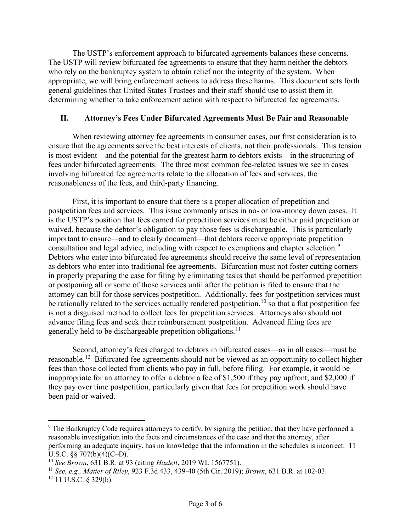The USTP's enforcement approach to bifurcated agreements balances these concerns. The USTP will review bifurcated fee agreements to ensure that they harm neither the debtors who rely on the bankruptcy system to obtain relief nor the integrity of the system. When appropriate, we will bring enforcement actions to address these harms. This document sets forth general guidelines that United States Trustees and their staff should use to assist them in determining whether to take enforcement action with respect to bifurcated fee agreements.

### **II. Attorney's Fees Under Bifurcated Agreements Must Be Fair and Reasonable**

When reviewing attorney fee agreements in consumer cases, our first consideration is to ensure that the agreements serve the best interests of clients, not their professionals. This tension is most evident—and the potential for the greatest harm to debtors exists—in the structuring of fees under bifurcated agreements. The three most common fee-related issues we see in cases involving bifurcated fee agreements relate to the allocation of fees and services, the reasonableness of the fees, and third-party financing.

First, it is important to ensure that there is a proper allocation of prepetition and postpetition fees and services. This issue commonly arises in no- or low-money down cases. It is the USTP's position that fees earned for prepetition services must be either paid prepetition or waived, because the debtor's obligation to pay those fees is dischargeable. This is particularly important to ensure—and to clearly document—that debtors receive appropriate prepetition consultation and legal advice, including with respect to exemptions and chapter selection.<sup>[9](#page-2-0)</sup> Debtors who enter into bifurcated fee agreements should receive the same level of representation as debtors who enter into traditional fee agreements. Bifurcation must not foster cutting corners in properly preparing the case for filing by eliminating tasks that should be performed prepetition or postponing all or some of those services until after the petition is filed to ensure that the attorney can bill for those services postpetition. Additionally, fees for postpetition services must be rationally related to the services actually rendered postpetition, $10$  so that a flat postpetition fee is not a disguised method to collect fees for prepetition services. Attorneys also should not advance filing fees and seek their reimbursement postpetition. Advanced filing fees are generally held to be dischargeable prepetition obligations.<sup>[11](#page-2-2)</sup>

Second, attorney's fees charged to debtors in bifurcated cases—as in all cases—must be reasonable.[12](#page-2-3) Bifurcated fee agreements should not be viewed as an opportunity to collect higher fees than those collected from clients who pay in full, before filing. For example, it would be inappropriate for an attorney to offer a debtor a fee of \$1,500 if they pay upfront, and \$2,000 if they pay over time postpetition, particularly given that fees for prepetition work should have been paid or waived.

<span id="page-2-0"></span><sup>&</sup>lt;sup>9</sup> The Bankruptcy Code requires attorneys to certify, by signing the petition, that they have performed a reasonable investigation into the facts and circumstances of the case and that the attorney, after performing an adequate inquiry, has no knowledge that the information in the schedules is incorrect. 11 U.S.C. §§ 707(b)(4)(C–D).

<span id="page-2-1"></span><sup>10</sup> *See Brown*, 631 B.R. at 93 (citing *Hazlett*, 2019 WL 1567751).

<span id="page-2-2"></span><sup>11</sup> *See, e.g., Matter of Riley*, 923 F.3d 433, 439-40 (5th Cir. 2019); *Brown*, 631 B.R. at 102-03.

<span id="page-2-3"></span> $12$  11 U.S.C. § 329(b).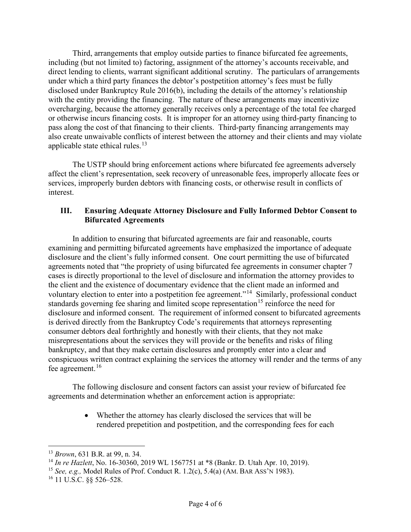Third, arrangements that employ outside parties to finance bifurcated fee agreements, including (but not limited to) factoring, assignment of the attorney's accounts receivable, and direct lending to clients, warrant significant additional scrutiny. The particulars of arrangements under which a third party finances the debtor's postpetition attorney's fees must be fully disclosed under Bankruptcy Rule 2016(b), including the details of the attorney's relationship with the entity providing the financing. The nature of these arrangements may incentivize overcharging, because the attorney generally receives only a percentage of the total fee charged or otherwise incurs financing costs. It is improper for an attorney using third-party financing to pass along the cost of that financing to their clients. Third-party financing arrangements may also create unwaivable conflicts of interest between the attorney and their clients and may violate applicable state ethical rules. $13$ 

The USTP should bring enforcement actions where bifurcated fee agreements adversely affect the client's representation, seek recovery of unreasonable fees, improperly allocate fees or services, improperly burden debtors with financing costs, or otherwise result in conflicts of interest.

### **III. Ensuring Adequate Attorney Disclosure and Fully Informed Debtor Consent to Bifurcated Agreements**

In addition to ensuring that bifurcated agreements are fair and reasonable, courts examining and permitting bifurcated agreements have emphasized the importance of adequate disclosure and the client's fully informed consent. One court permitting the use of bifurcated agreements noted that "the propriety of using bifurcated fee agreements in consumer chapter 7 cases is directly proportional to the level of disclosure and information the attorney provides to the client and the existence of documentary evidence that the client made an informed and voluntary election to enter into a postpetition fee agreement."[14](#page-3-1) Similarly, professional conduct standards governing fee sharing and limited scope representation<sup>[15](#page-3-2)</sup> reinforce the need for disclosure and informed consent. The requirement of informed consent to bifurcated agreements is derived directly from the Bankruptcy Code's requirements that attorneys representing consumer debtors deal forthrightly and honestly with their clients, that they not make misrepresentations about the services they will provide or the benefits and risks of filing bankruptcy, and that they make certain disclosures and promptly enter into a clear and conspicuous written contract explaining the services the attorney will render and the terms of any fee agreement.<sup>[16](#page-3-3)</sup>

The following disclosure and consent factors can assist your review of bifurcated fee agreements and determination whether an enforcement action is appropriate:

> • Whether the attorney has clearly disclosed the services that will be rendered prepetition and postpetition, and the corresponding fees for each

<span id="page-3-0"></span><sup>13</sup> *Brown*, 631 B.R. at 99, n. 34.

<span id="page-3-1"></span><sup>14</sup> *In re Hazlett*, No. 16-30360, 2019 WL 1567751 at \*8 (Bankr. D. Utah Apr. 10, 2019).

<span id="page-3-2"></span><sup>15</sup> *See, e.g.,* Model Rules of Prof. Conduct R. 1.2(c), 5.4(a) (AM. BAR ASS'N 1983).

<span id="page-3-3"></span> $16$  11 U.S.C. §§ 526–528.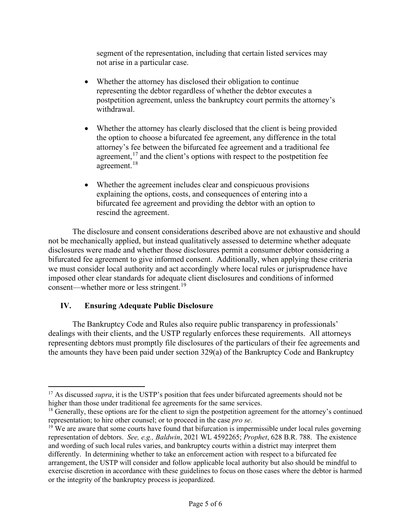segment of the representation, including that certain listed services may not arise in a particular case.

- Whether the attorney has disclosed their obligation to continue representing the debtor regardless of whether the debtor executes a postpetition agreement, unless the bankruptcy court permits the attorney's withdrawal.
- Whether the attorney has clearly disclosed that the client is being provided the option to choose a bifurcated fee agreement, any difference in the total attorney's fee between the bifurcated fee agreement and a traditional fee agreement,  $17$  and the client's options with respect to the postpetition fee agreement.<sup>[18](#page-4-1)</sup>
- Whether the agreement includes clear and conspicuous provisions explaining the options, costs, and consequences of entering into a bifurcated fee agreement and providing the debtor with an option to rescind the agreement.

The disclosure and consent considerations described above are not exhaustive and should not be mechanically applied, but instead qualitatively assessed to determine whether adequate disclosures were made and whether those disclosures permit a consumer debtor considering a bifurcated fee agreement to give informed consent. Additionally, when applying these criteria we must consider local authority and act accordingly where local rules or jurisprudence have imposed other clear standards for adequate client disclosures and conditions of informed consent—whether more or less stringent.<sup>[19](#page-4-2)</sup>

## **IV. Ensuring Adequate Public Disclosure**

The Bankruptcy Code and Rules also require public transparency in professionals' dealings with their clients, and the USTP regularly enforces these requirements. All attorneys representing debtors must promptly file disclosures of the particulars of their fee agreements and the amounts they have been paid under section 329(a) of the Bankruptcy Code and Bankruptcy

<span id="page-4-0"></span><sup>&</sup>lt;sup>17</sup> As discussed *supra*, it is the USTP's position that fees under bifurcated agreements should not be higher than those under traditional fee agreements for the same services.

<span id="page-4-1"></span><sup>&</sup>lt;sup>18</sup> Generally, these options are for the client to sign the postpetition agreement for the attorney's continued representation; to hire other counsel; or to proceed in the case *pro se*.

<span id="page-4-2"></span><sup>&</sup>lt;sup>19</sup> We are aware that some courts have found that bifurcation is impermissible under local rules governing representation of debtors. *See, e.g., Baldwin*, 2021 WL 4592265; *Prophet*, 628 B.R. 788. The existence and wording of such local rules varies, and bankruptcy courts within a district may interpret them differently. In determining whether to take an enforcement action with respect to a bifurcated fee arrangement, the USTP will consider and follow applicable local authority but also should be mindful to exercise discretion in accordance with these guidelines to focus on those cases where the debtor is harmed or the integrity of the bankruptcy process is jeopardized.